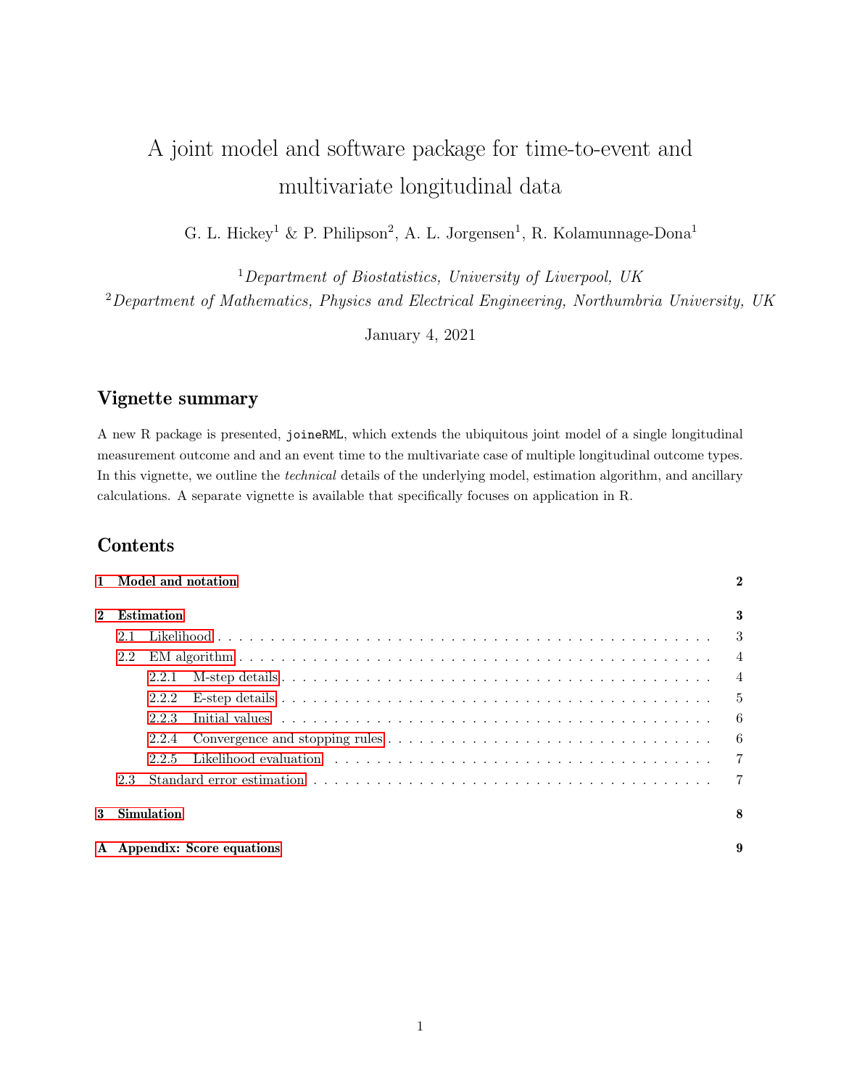# A joint model and software package for time-to-event and multivariate longitudinal data

G. L. Hickey<sup>1</sup> & P. Philipson<sup>2</sup>, A. L. Jorgensen<sup>1</sup>, R. Kolamunnage-Dona<sup>1</sup>

<sup>1</sup>Department of Biostatistics, University of Liverpool, UK <sup>2</sup>Department of Mathematics, Physics and Electrical Engineering, Northumbria University, UK

January 4, 2021

# Vignette summary

A new R package is presented, joineRML, which extends the ubiquitous joint model of a single longitudinal measurement outcome and and an event time to the multivariate case of multiple longitudinal outcome types. In this vignette, we outline the technical details of the underlying model, estimation algorithm, and ancillary calculations. A separate vignette is available that specifically focuses on application in R.

# Contents

|          |     |            | 1 Model and notation        | $\bf{2}$       |
|----------|-----|------------|-----------------------------|----------------|
| $\bf{2}$ |     | Estimation |                             | 3              |
|          | 2.1 |            |                             | - 3            |
| 2.2      |     |            | $\overline{4}$              |                |
|          |     | 2.2.1      |                             | $\overline{4}$ |
|          |     | 2.2.2      |                             | - 5            |
|          |     | 2.2.3      |                             | -6             |
|          |     | 2.2.4      |                             | - 6            |
|          |     | 2.2.5      |                             | $\overline{7}$ |
|          | 2.3 |            |                             | $\overline{7}$ |
| $\bf{3}$ |     | Simulation |                             | 8              |
|          |     |            | A Appendix: Score equations | 9              |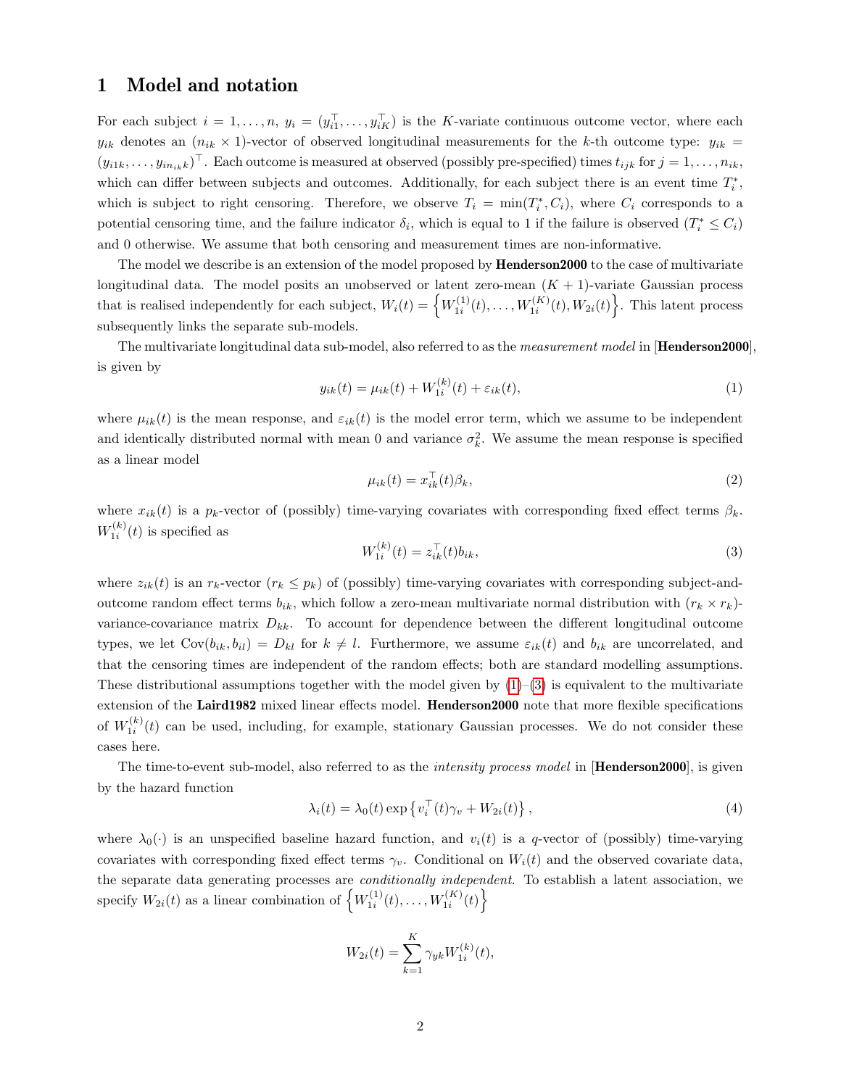# <span id="page-1-0"></span>1 Model and notation

For each subject  $i = 1, ..., n$ ,  $y_i = (y_{i1}^\top, ..., y_{iK}^\top)$  is the K-variate continuous outcome vector, where each  $y_{ik}$  denotes an  $(n_{ik} \times 1)$ -vector of observed longitudinal measurements for the k-th outcome type:  $y_{ik}$  =  $(y_{i1k},...,y_{in_{ik}k})^{\top}$ . Each outcome is measured at observed (possibly pre-specified) times  $t_{ijk}$  for  $j=1,...,n_{ik}$ , which can differ between subjects and outcomes. Additionally, for each subject there is an event time  $T_i^*$ , which is subject to right censoring. Therefore, we observe  $T_i = \min(T_i^*, C_i)$ , where  $C_i$  corresponds to a potential censoring time, and the failure indicator  $\delta_i$ , which is equal to 1 if the failure is observed  $(T_i^* \leq C_i)$ and 0 otherwise. We assume that both censoring and measurement times are non-informative.

The model we describe is an extension of the model proposed by **Henderson2000** to the case of multivariate longitudinal data. The model posits an unobserved or latent zero-mean  $(K + 1)$ -variate Gaussian process that is realised independently for each subject,  $W_i(t) = \left\{ W_{1i}^{(1)}(t), \ldots, W_{1i}^{(K)}(t), W_{2i}(t) \right\}$ . This latent process subsequently links the separate sub-models.

The multivariate longitudinal data sub-model, also referred to as the *measurement model* in [**Henderson2000**], is given by

<span id="page-1-1"></span>
$$
y_{ik}(t) = \mu_{ik}(t) + W_{1i}^{(k)}(t) + \varepsilon_{ik}(t),
$$
\n(1)

where  $\mu_{ik}(t)$  is the mean response, and  $\varepsilon_{ik}(t)$  is the model error term, which we assume to be independent and identically distributed normal with mean 0 and variance  $\sigma_k^2$ . We assume the mean response is specified as a linear model

$$
\mu_{ik}(t) = x_{ik}^{\top}(t)\beta_k,\tag{2}
$$

where  $x_{ik}(t)$  is a  $p_k$ -vector of (possibly) time-varying covariates with corresponding fixed effect terms  $\beta_k$ .  $W_{1i}^{(k)}(t)$  is specified as

<span id="page-1-2"></span>
$$
W_{1i}^{(k)}(t) = z_{ik}^{\top}(t)b_{ik},\tag{3}
$$

where  $z_{ik}(t)$  is an  $r_k$ -vector  $(r_k \leq p_k)$  of (possibly) time-varying covariates with corresponding subject-andoutcome random effect terms  $b_{ik}$ , which follow a zero-mean multivariate normal distribution with  $(r_k \times r_k)$ variance-covariance matrix  $D_{kk}$ . To account for dependence between the different longitudinal outcome types, we let  $Cov(b_{ik}, b_{il}) = D_{kl}$  for  $k \neq l$ . Furthermore, we assume  $\varepsilon_{ik}(t)$  and  $b_{ik}$  are uncorrelated, and that the censoring times are independent of the random effects; both are standard modelling assumptions. These distributional assumptions together with the model given by  $(1)-(3)$  $(1)-(3)$  is equivalent to the multivariate extension of the Laird1982 mixed linear effects model. Henderson2000 note that more flexible specifications of  $W_{1i}^{(k)}(t)$  can be used, including, for example, stationary Gaussian processes. We do not consider these cases here.

The time-to-event sub-model, also referred to as the *intensity process model* in [**Henderson2000**], is given by the hazard function

<span id="page-1-3"></span>
$$
\lambda_i(t) = \lambda_0(t) \exp\left\{v_i^\top(t)\gamma_v + W_{2i}(t)\right\},\tag{4}
$$

where  $\lambda_0(\cdot)$  is an unspecified baseline hazard function, and  $v_i(t)$  is a q-vector of (possibly) time-varying covariates with corresponding fixed effect terms  $\gamma_v$ . Conditional on  $W_i(t)$  and the observed covariate data, the separate data generating processes are *conditionally independent*. To establish a latent association, we specify  $W_{2i}(t)$  as a linear combination of  $\left\{W_{1i}^{(1)}(t), \ldots, W_{1i}^{(K)}(t)\right\}$ 

$$
W_{2i}(t) = \sum_{k=1}^{K} \gamma_{yk} W_{1i}^{(k)}(t),
$$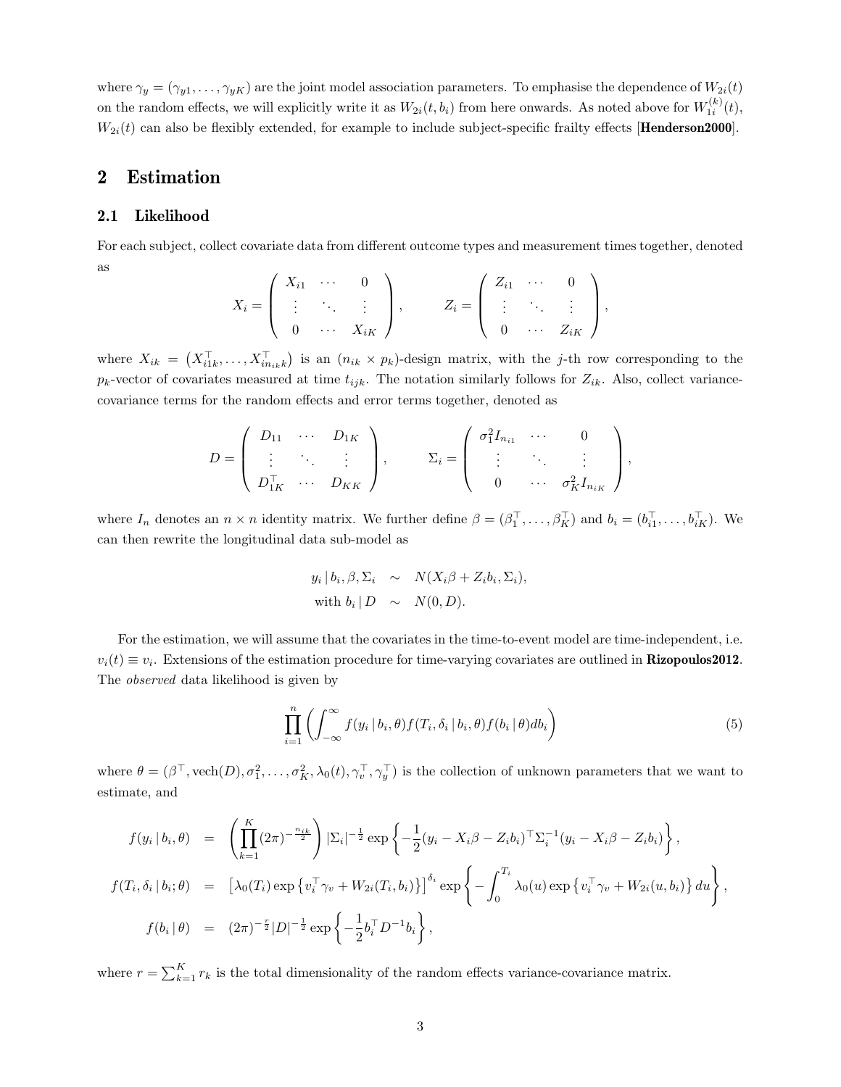where  $\gamma_y = (\gamma_{y1}, \dots, \gamma_{yK})$  are the joint model association parameters. To emphasise the dependence of  $W_{2i}(t)$ on the random effects, we will explicitly write it as  $W_{2i}(t, b_i)$  from here onwards. As noted above for  $W_{1i}^{(k)}(t)$ ,  $W_{2i}(t)$  can also be flexibly extended, for example to include subject-specific frailty effects [**Henderson2000**].

### <span id="page-2-0"></span>2 Estimation

#### <span id="page-2-1"></span>2.1 Likelihood

For each subject, collect covariate data from different outcome types and measurement times together, denoted as

$$
X_i = \left(\begin{array}{cccc} X_{i1} & \cdots & 0 \\ \vdots & \ddots & \vdots \\ 0 & \cdots & X_{iK} \end{array}\right), \qquad Z_i = \left(\begin{array}{cccc} Z_{i1} & \cdots & 0 \\ \vdots & \ddots & \vdots \\ 0 & \cdots & Z_{iK} \end{array}\right),
$$

where  $X_{ik} = (X_{i1k}^{\top}, \ldots, X_{in_{ik}k}^{\top})$  is an  $(n_{ik} \times p_k)$ -design matrix, with the j-th row corresponding to the  $p_k$ -vector of covariates measured at time  $t_{ijk}$ . The notation similarly follows for  $Z_{ik}$ . Also, collect variancecovariance terms for the random effects and error terms together, denoted as

$$
D = \left(\begin{array}{cccc} D_{11} & \cdots & D_{1K} \\ \vdots & \ddots & \vdots \\ D_{1K}^T & \cdots & D_{KK} \end{array}\right), \qquad \Sigma_i = \left(\begin{array}{cccc} \sigma_1^2 I_{n_{i1}} & \cdots & 0 \\ \vdots & \ddots & \vdots \\ 0 & \cdots & \sigma_K^2 I_{n_{iK}} \end{array}\right),
$$

where  $I_n$  denotes an  $n \times n$  identity matrix. We further define  $\beta = (\beta_1^\top, \ldots, \beta_K^\top)$  and  $b_i = (b_{i1}^\top, \ldots, b_{iK}^\top)$ . We can then rewrite the longitudinal data sub-model as

$$
y_i | b_i, \beta, \Sigma_i \sim N(X_i \beta + Z_i b_i, \Sigma_i),
$$
  
with  $b_i | D \sim N(0, D)$ .

For the estimation, we will assume that the covariates in the time-to-event model are time-independent, i.e.  $v_i(t) \equiv v_i$ . Extensions of the estimation procedure for time-varying covariates are outlined in **Rizopoulos2012**. The observed data likelihood is given by

<span id="page-2-2"></span>
$$
\prod_{i=1}^{n} \left( \int_{-\infty}^{\infty} f(y_i | b_i, \theta) f(T_i, \delta_i | b_i, \theta) f(b_i | \theta) db_i \right) \tag{5}
$$

where  $\theta = (\beta^{\top}, \text{vech}(D), \sigma_1^2, \dots, \sigma_K^2, \lambda_0(t), \gamma_v^{\top}, \gamma_y^{\top})$  is the collection of unknown parameters that we want to estimate, and

$$
f(y_i | b_i, \theta) = \left( \prod_{k=1}^K (2\pi)^{-\frac{n_{ik}}{2}} \right) |\Sigma_i|^{-\frac{1}{2}} \exp \left\{ -\frac{1}{2} (y_i - X_i \beta - Z_i b_i)^{\top} \Sigma_i^{-1} (y_i - X_i \beta - Z_i b_i) \right\},
$$
  

$$
f(T_i, \delta_i | b_i; \theta) = [\lambda_0(T_i) \exp \{ v_i^{\top} \gamma_v + W_{2i}(T_i, b_i) \}]^{\delta_i} \exp \left\{ -\int_0^{T_i} \lambda_0(u) \exp \{ v_i^{\top} \gamma_v + W_{2i}(u, b_i) \} du \right\},
$$
  

$$
f(b_i | \theta) = (2\pi)^{-\frac{r}{2}} |D|^{-\frac{1}{2}} \exp \left\{ -\frac{1}{2} b_i^{\top} D^{-1} b_i \right\},
$$

where  $r = \sum_{k=1}^{K} r_k$  is the total dimensionality of the random effects variance-covariance matrix.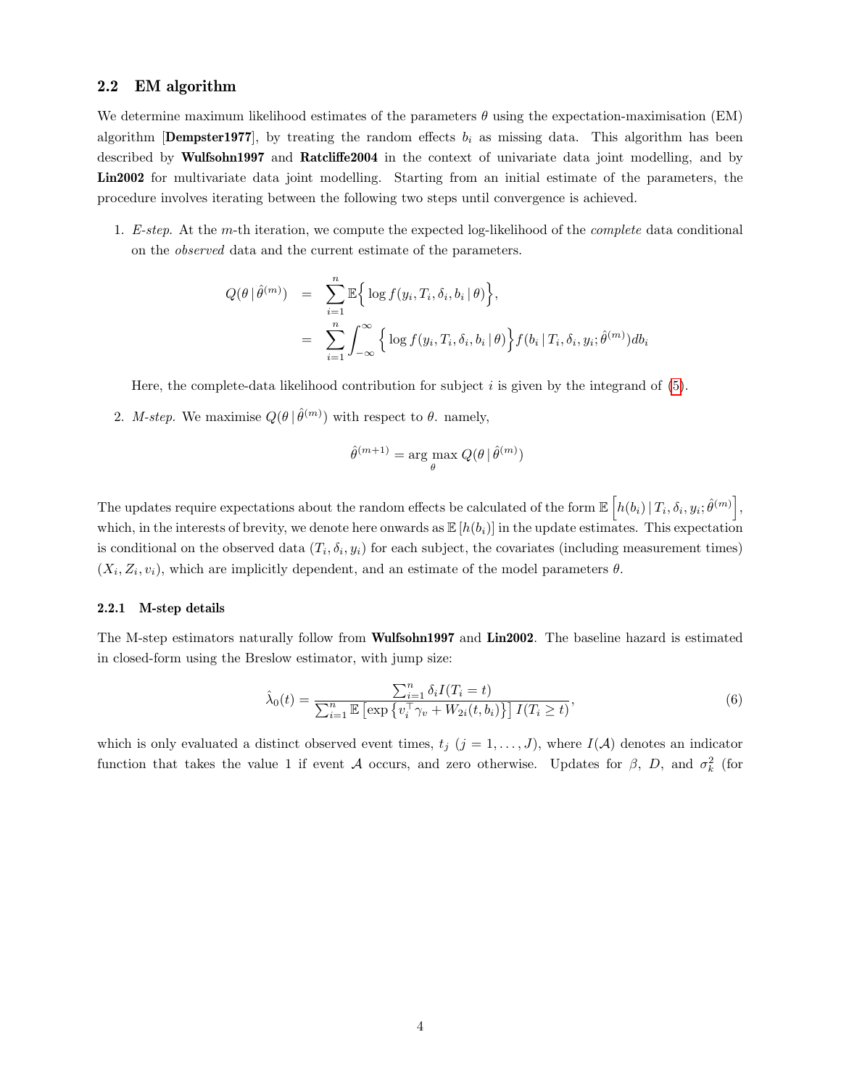#### <span id="page-3-0"></span>2.2 EM algorithm

We determine maximum likelihood estimates of the parameters  $\theta$  using the expectation-maximisation (EM) algorithm [Dempster1977], by treating the random effects  $b_i$  as missing data. This algorithm has been described by Wulfsohn1997 and Ratcliffe2004 in the context of univariate data joint modelling, and by Lin2002 for multivariate data joint modelling. Starting from an initial estimate of the parameters, the procedure involves iterating between the following two steps until convergence is achieved.

1. E-step. At the m-th iteration, we compute the expected log-likelihood of the *complete* data conditional on the observed data and the current estimate of the parameters.

$$
Q(\theta | \hat{\theta}^{(m)}) = \sum_{i=1}^{n} \mathbb{E} \Big\{ \log f(y_i, T_i, \delta_i, b_i | \theta) \Big\},
$$
  
= 
$$
\sum_{i=1}^{n} \int_{-\infty}^{\infty} \Big\{ \log f(y_i, T_i, \delta_i, b_i | \theta) \Big\} f(b_i | T_i, \delta_i, y_i; \hat{\theta}^{(m)}) db_i
$$

Here, the complete-data likelihood contribution for subject  $i$  is given by the integrand of  $(5)$ .

2. *M-step*. We maximise  $Q(\theta | \hat{\theta}^{(m)})$  with respect to  $\theta$ . namely,

$$
\hat{\theta}^{(m+1)} = \arg\max_{\theta} Q(\theta \mid \hat{\theta}^{(m)})
$$

The updates require expectations about the random effects be calculated of the form  $\mathbb{E}\left[h(b_i) | T_i, \delta_i, y_i; \hat{\theta}^{(m)}\right],$ which, in the interests of brevity, we denote here onwards as  $\mathbb{E}[h(b_i)]$  in the update estimates. This expectation is conditional on the observed data  $(T_i, \delta_i, y_i)$  for each subject, the covariates (including measurement times)  $(X_i, Z_i, v_i)$ , which are implicitly dependent, and an estimate of the model parameters  $\theta$ .

#### <span id="page-3-1"></span>2.2.1 M-step details

The M-step estimators naturally follow from **Wulfsohn1997** and **Lin2002**. The baseline hazard is estimated in closed-form using the Breslow estimator, with jump size:

<span id="page-3-2"></span>
$$
\hat{\lambda}_0(t) = \frac{\sum_{i=1}^n \delta_i I(T_i = t)}{\sum_{i=1}^n \mathbb{E}\left[\exp\left\{v_i^\top \gamma_v + W_{2i}(t, b_i)\right\}\right] I(T_i \ge t)},\tag{6}
$$

which is only evaluated a distinct observed event times,  $t_j$  ( $j = 1, \ldots, J$ ), where  $I(\mathcal{A})$  denotes an indicator function that takes the value 1 if event A occurs, and zero otherwise. Updates for  $\beta$ , D, and  $\sigma_k^2$  (for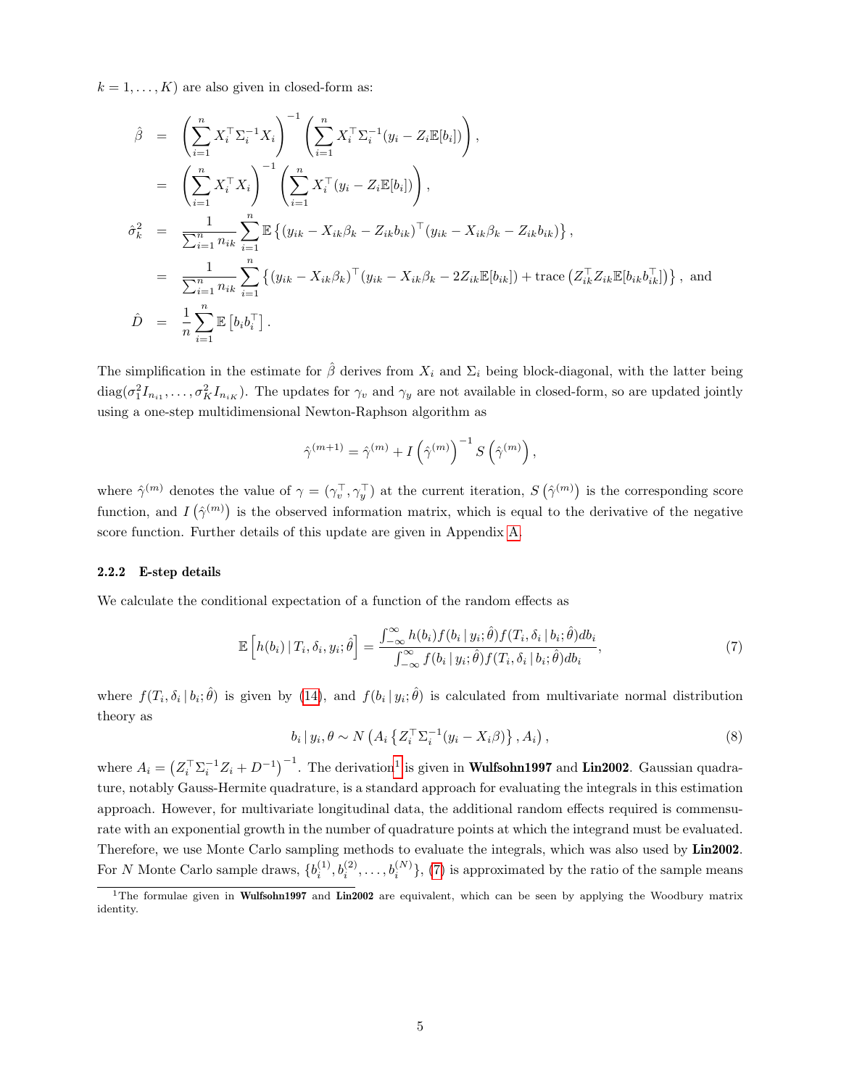$k = 1, \ldots, K$  are also given in closed-form as:

$$
\hat{\beta} = \left( \sum_{i=1}^{n} X_i^{\top} \Sigma_i^{-1} X_i \right)^{-1} \left( \sum_{i=1}^{n} X_i^{\top} \Sigma_i^{-1} (y_i - Z_i \mathbb{E}[b_i]) \right),
$$
\n
$$
= \left( \sum_{i=1}^{n} X_i^{\top} X_i \right)^{-1} \left( \sum_{i=1}^{n} X_i^{\top} (y_i - Z_i \mathbb{E}[b_i]) \right),
$$
\n
$$
\hat{\sigma}_k^2 = \frac{1}{\sum_{i=1}^{n} n_{ik}} \sum_{i=1}^{n} \mathbb{E} \left\{ (y_{ik} - X_{ik} \beta_k - Z_{ik} b_{ik})^{\top} (y_{ik} - X_{ik} \beta_k - Z_{ik} b_{ik}) \right\},
$$
\n
$$
= \frac{1}{\sum_{i=1}^{n} n_{ik}} \sum_{i=1}^{n} \left\{ (y_{ik} - X_{ik} \beta_k)^{\top} (y_{ik} - X_{ik} \beta_k - 2Z_{ik} \mathbb{E}[b_{ik}]) + \text{trace} \left( Z_{ik}^{\top} Z_{ik} \mathbb{E}[b_{ik} b_{ik}^{\top}] \right) \right\}, \text{ and}
$$
\n
$$
\hat{D} = \frac{1}{n} \sum_{i=1}^{n} \mathbb{E} \left[ b_i b_i^{\top} \right].
$$

The simplification in the estimate for  $\hat{\beta}$  derives from  $X_i$  and  $\Sigma_i$  being block-diagonal, with the latter being  $diag(\sigma_1^2 I_{n_{i1}}, \ldots, \sigma_K^2 I_{n_{iK}})$ . The updates for  $\gamma_v$  and  $\gamma_y$  are not available in closed-form, so are updated jointly using a one-step multidimensional Newton-Raphson algorithm as

$$
\hat{\gamma}^{(m+1)} = \hat{\gamma}^{(m)} + I\left(\hat{\gamma}^{(m)}\right)^{-1} S\left(\hat{\gamma}^{(m)}\right),
$$

where  $\hat{\gamma}^{(m)}$  denotes the value of  $\gamma = (\gamma_v^{\top}, \gamma_y^{\top})$  at the current iteration,  $S(\hat{\gamma}^{(m)})$  is the corresponding score function, and  $I(\hat{\gamma}^{(m)})$  is the observed information matrix, which is equal to the derivative of the negative score function. Further details of this update are given in Appendix [A.](#page-8-0)

#### <span id="page-4-0"></span>2.2.2 E-step details

We calculate the conditional expectation of a function of the random effects as

<span id="page-4-2"></span>
$$
\mathbb{E}\left[h(b_i) | T_i, \delta_i, y_i; \hat{\theta}\right] = \frac{\int_{-\infty}^{\infty} h(b_i) f(b_i | y_i; \hat{\theta}) f(T_i, \delta_i | b_i; \hat{\theta}) db_i}{\int_{-\infty}^{\infty} f(b_i | y_i; \hat{\theta}) f(T_i, \delta_i | b_i; \hat{\theta}) db_i},\tag{7}
$$

where  $f(T_i, \delta_i | b_i; \hat{\theta})$  is given by [\(14\)](#page-9-0), and  $f(b_i | y_i; \hat{\theta})$  is calculated from multivariate normal distribution theory as

<span id="page-4-3"></span>
$$
b_i | y_i, \theta \sim N\left(A_i \left\{ Z_i^\top \Sigma_i^{-1} (y_i - X_i \beta) \right\}, A_i \right), \tag{8}
$$

where  $A_i = (Z_i^T \Sigma_i^{-1} Z_i + D^{-1})^{-1}$  $A_i = (Z_i^T \Sigma_i^{-1} Z_i + D^{-1})^{-1}$  $A_i = (Z_i^T \Sigma_i^{-1} Z_i + D^{-1})^{-1}$ . The derivation<sup>1</sup> is given in **Wulfsohn1997** and **Lin2002**. Gaussian quadrature, notably Gauss-Hermite quadrature, is a standard approach for evaluating the integrals in this estimation approach. However, for multivariate longitudinal data, the additional random effects required is commensurate with an exponential growth in the number of quadrature points at which the integrand must be evaluated. Therefore, we use Monte Carlo sampling methods to evaluate the integrals, which was also used by Lin2002. For N Monte Carlo sample draws,  $\{b_i^{(1)}, b_i^{(2)}, \ldots, b_i^{(N)}\}$ , [\(7\)](#page-4-2) is approximated by the ratio of the sample means

<span id="page-4-1"></span><sup>&</sup>lt;sup>1</sup>The formulae given in Wulfsohn1997 and Lin2002 are equivalent, which can be seen by applying the Woodbury matrix identity.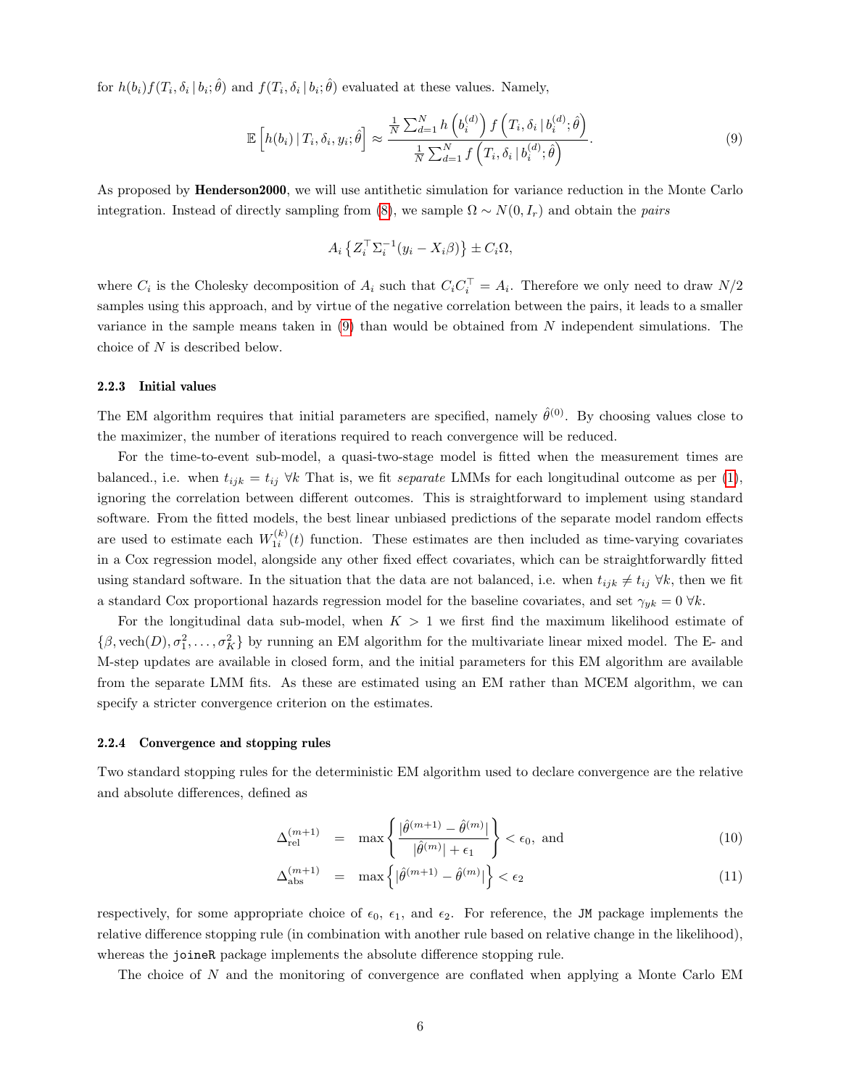for  $h(b_i) f(T_i, \delta_i | b_i; \hat{\theta})$  and  $f(T_i, \delta_i | b_i; \hat{\theta})$  evaluated at these values. Namely,

<span id="page-5-2"></span>
$$
\mathbb{E}\left[h(b_i) | T_i, \delta_i, y_i; \hat{\theta}\right] \approx \frac{\frac{1}{N}\sum_{d=1}^{N} h\left(b_i^{(d)}\right) f\left(T_i, \delta_i | b_i^{(d)}; \hat{\theta}\right)}{\frac{1}{N}\sum_{d=1}^{N} f\left(T_i, \delta_i | b_i^{(d)}; \hat{\theta}\right)}.
$$
\n(9)

As proposed by Henderson2000, we will use antithetic simulation for variance reduction in the Monte Carlo integration. Instead of directly sampling from [\(8\)](#page-4-3), we sample  $\Omega \sim N(0, I_r)$  and obtain the *pairs* 

$$
A_i \left\{ Z_i^{\top} \Sigma_i^{-1} (y_i - X_i \beta) \right\} \pm C_i \Omega,
$$

where  $C_i$  is the Cholesky decomposition of  $A_i$  such that  $C_i C_i^{\top} = A_i$ . Therefore we only need to draw  $N/2$ samples using this approach, and by virtue of the negative correlation between the pairs, it leads to a smaller variance in the sample means taken in  $(9)$  than would be obtained from N independent simulations. The choice of N is described below.

#### <span id="page-5-0"></span>2.2.3 Initial values

The EM algorithm requires that initial parameters are specified, namely  $\hat{\theta}^{(0)}$ . By choosing values close to the maximizer, the number of iterations required to reach convergence will be reduced.

For the time-to-event sub-model, a quasi-two-stage model is fitted when the measurement times are balanced., i.e. when  $t_{ijk} = t_{ij} \forall k$  That is, we fit separate LMMs for each longitudinal outcome as per [\(1\)](#page-1-1), ignoring the correlation between different outcomes. This is straightforward to implement using standard software. From the fitted models, the best linear unbiased predictions of the separate model random effects are used to estimate each  $W_{1i}^{(k)}(t)$  function. These estimates are then included as time-varying covariates in a Cox regression model, alongside any other fixed effect covariates, which can be straightforwardly fitted using standard software. In the situation that the data are not balanced, i.e. when  $t_{ijk} \neq t_{ij} \ \forall k$ , then we fit a standard Cox proportional hazards regression model for the baseline covariates, and set  $\gamma_{yk} = 0 \ \forall k$ .

For the longitudinal data sub-model, when  $K > 1$  we first find the maximum likelihood estimate of  $\{\beta, \text{vech}(D), \sigma_1^2, \ldots, \sigma_K^2\}$  by running an EM algorithm for the multivariate linear mixed model. The E- and M-step updates are available in closed form, and the initial parameters for this EM algorithm are available from the separate LMM fits. As these are estimated using an EM rather than MCEM algorithm, we can specify a stricter convergence criterion on the estimates.

#### <span id="page-5-1"></span>2.2.4 Convergence and stopping rules

Two standard stopping rules for the deterministic EM algorithm used to declare convergence are the relative and absolute differences, defined as

<span id="page-5-3"></span>
$$
\Delta_{\text{rel}}^{(m+1)} = \max \left\{ \frac{|\hat{\theta}^{(m+1)} - \hat{\theta}^{(m)}|}{|\hat{\theta}^{(m)}| + \epsilon_1} \right\} < \epsilon_0, \text{ and } (10)
$$

$$
\Delta_{\text{abs}}^{(m+1)} = \max \left\{ |\hat{\theta}^{(m+1)} - \hat{\theta}^{(m)}| \right\} < \epsilon_2 \tag{11}
$$

respectively, for some appropriate choice of  $\epsilon_0$ ,  $\epsilon_1$ , and  $\epsilon_2$ . For reference, the JM package implements the relative difference stopping rule (in combination with another rule based on relative change in the likelihood), whereas the joineR package implements the absolute difference stopping rule.

The choice of N and the monitoring of convergence are conflated when applying a Monte Carlo EM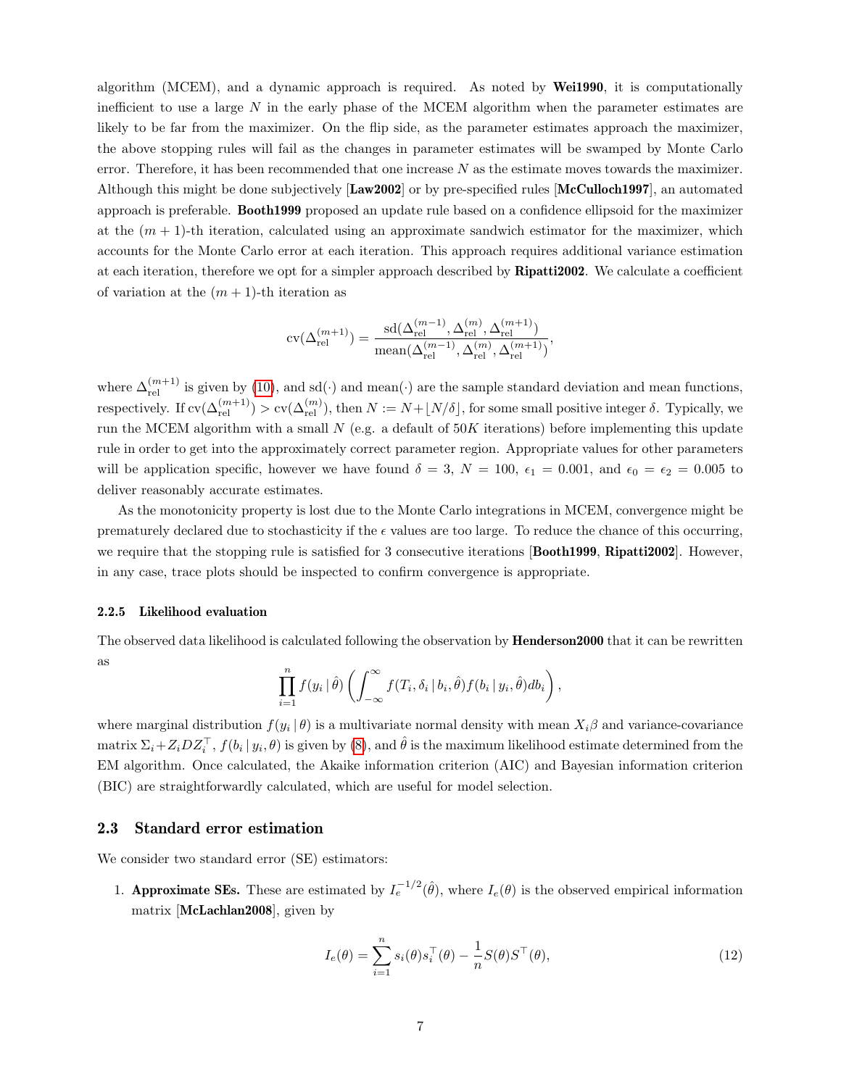algorithm (MCEM), and a dynamic approach is required. As noted by Wei1990, it is computationally inefficient to use a large  $N$  in the early phase of the MCEM algorithm when the parameter estimates are likely to be far from the maximizer. On the flip side, as the parameter estimates approach the maximizer, the above stopping rules will fail as the changes in parameter estimates will be swamped by Monte Carlo error. Therefore, it has been recommended that one increase  $N$  as the estimate moves towards the maximizer. Although this might be done subjectively [Law2002] or by pre-specified rules [McCulloch1997], an automated approach is preferable. Booth1999 proposed an update rule based on a confidence ellipsoid for the maximizer at the  $(m + 1)$ -th iteration, calculated using an approximate sandwich estimator for the maximizer, which accounts for the Monte Carlo error at each iteration. This approach requires additional variance estimation at each iteration, therefore we opt for a simpler approach described by Ripatti2002. We calculate a coefficient of variation at the  $(m + 1)$ -th iteration as

$$
\text{cv}(\Delta^{(m+1)}_{\text{rel}})=\frac{\text{sd}(\Delta^{(m-1)}_{\text{rel}},\Delta^{(m)}_{\text{rel}},\Delta^{(m+1)}_{\text{rel}})}{\text{mean}(\Delta^{(m-1)}_{\text{rel}},\Delta^{(m)}_{\text{rel}},\Delta^{(m+1)}_{\text{rel}})},
$$

where  $\Delta_{rel}^{(m+1)}$  is given by [\(10\)](#page-5-3), and sd(·) and mean(·) are the sample standard deviation and mean functions, respectively. If  $\text{cv}(\Delta_{\text{rel}}^{(m+1)}) > \text{cv}(\Delta_{\text{rel}}^{(m)})$ , then  $N := N + \lfloor N/\delta \rfloor$ , for some small positive integer  $\delta$ . Typically, we run the MCEM algorithm with a small  $N$  (e.g. a default of  $50K$  iterations) before implementing this update rule in order to get into the approximately correct parameter region. Appropriate values for other parameters will be application specific, however we have found  $\delta = 3$ ,  $N = 100$ ,  $\epsilon_1 = 0.001$ , and  $\epsilon_0 = \epsilon_2 = 0.005$  to deliver reasonably accurate estimates.

As the monotonicity property is lost due to the Monte Carlo integrations in MCEM, convergence might be prematurely declared due to stochasticity if the  $\epsilon$  values are too large. To reduce the chance of this occurring, we require that the stopping rule is satisfied for 3 consecutive iterations [Booth1999, Ripatti2002]. However, in any case, trace plots should be inspected to confirm convergence is appropriate.

#### <span id="page-6-0"></span>2.2.5 Likelihood evaluation

The observed data likelihood is calculated following the observation by **Henderson2000** that it can be rewritten as

$$
\prod_{i=1}^n f(y_i | \hat{\theta}) \left( \int_{-\infty}^{\infty} f(T_i, \delta_i | b_i, \hat{\theta}) f(b_i | y_i, \hat{\theta}) db_i \right),
$$

where marginal distribution  $f(y_i | \theta)$  is a multivariate normal density with mean  $X_i\beta$  and variance-covariance matrix  $\Sigma_i + Z_i D Z_i^{\top}$ ,  $f(b_i | y_i, \theta)$  is given by [\(8\)](#page-4-3), and  $\hat{\theta}$  is the maximum likelihood estimate determined from the EM algorithm. Once calculated, the Akaike information criterion (AIC) and Bayesian information criterion (BIC) are straightforwardly calculated, which are useful for model selection.

#### <span id="page-6-1"></span>2.3 Standard error estimation

We consider two standard error  $(SE)$  estimators:

1. **Approximate SEs.** These are estimated by  $I_e^{-1/2}(\hat{\theta})$ , where  $I_e(\theta)$  is the observed empirical information matrix [McLachlan2008], given by

<span id="page-6-2"></span>
$$
I_e(\theta) = \sum_{i=1}^n s_i(\theta) s_i^{\top}(\theta) - \frac{1}{n} S(\theta) S^{\top}(\theta),
$$
\n(12)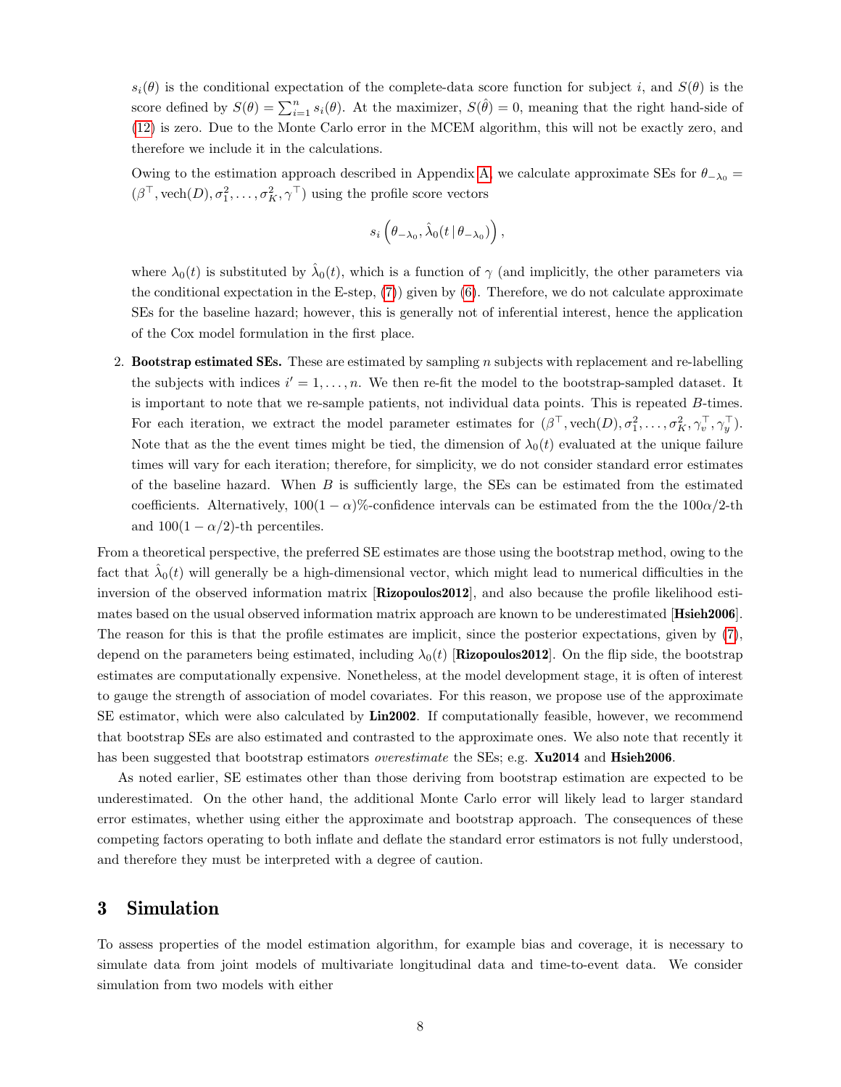$s_i(\theta)$  is the conditional expectation of the complete-data score function for subject i, and  $S(\theta)$  is the score defined by  $S(\theta) = \sum_{i=1}^{n} s_i(\theta)$ . At the maximizer,  $S(\hat{\theta}) = 0$ , meaning that the right hand-side of [\(12\)](#page-6-2) is zero. Due to the Monte Carlo error in the MCEM algorithm, this will not be exactly zero, and therefore we include it in the calculations.

Owing to the estimation approach described in Appendix [A,](#page-8-0) we calculate approximate SEs for  $\theta_{-\lambda_0} =$  $(\beta^{\top}, \text{vech}(D), \sigma_1^2, \dots, \sigma_K^2, \gamma^{\top})$  using the profile score vectors

$$
s_i\left(\theta_{-\lambda_0},\hat\lambda_0(t\,|\,\theta_{-\lambda_0})\right),\,
$$

where  $\lambda_0(t)$  is substituted by  $\hat{\lambda}_0(t)$ , which is a function of  $\gamma$  (and implicitly, the other parameters via the conditional expectation in the E-step,  $(7)$ ) given by  $(6)$ . Therefore, we do not calculate approximate SEs for the baseline hazard; however, this is generally not of inferential interest, hence the application of the Cox model formulation in the first place.

2. Bootstrap estimated SEs. These are estimated by sampling  $n$  subjects with replacement and re-labelling the subjects with indices  $i' = 1, \ldots, n$ . We then re-fit the model to the bootstrap-sampled dataset. It is important to note that we re-sample patients, not individual data points. This is repeated B-times. For each iteration, we extract the model parameter estimates for  $(\beta^{\top}, \text{vech}(D), \sigma_1^2, \ldots, \sigma_K^2, \gamma_v^{\top}, \gamma_y^{\top})$ . Note that as the the event times might be tied, the dimension of  $\lambda_0(t)$  evaluated at the unique failure times will vary for each iteration; therefore, for simplicity, we do not consider standard error estimates of the baseline hazard. When B is sufficiently large, the SEs can be estimated from the estimated coefficients. Alternatively,  $100(1 - \alpha)$ %-confidence intervals can be estimated from the the  $100\alpha/2$ -th and  $100(1 - \alpha/2)$ -th percentiles.

From a theoretical perspective, the preferred SE estimates are those using the bootstrap method, owing to the fact that  $\hat{\lambda}_0(t)$  will generally be a high-dimensional vector, which might lead to numerical difficulties in the inversion of the observed information matrix [Rizopoulos2012], and also because the profile likelihood estimates based on the usual observed information matrix approach are known to be underestimated **Hsieh2006**. The reason for this is that the profile estimates are implicit, since the posterior expectations, given by [\(7\)](#page-4-2), depend on the parameters being estimated, including  $\lambda_0(t)$  [Rizopoulos2012]. On the flip side, the bootstrap estimates are computationally expensive. Nonetheless, at the model development stage, it is often of interest to gauge the strength of association of model covariates. For this reason, we propose use of the approximate SE estimator, which were also calculated by **Lin2002**. If computationally feasible, however, we recommend that bootstrap SEs are also estimated and contrasted to the approximate ones. We also note that recently it has been suggested that bootstrap estimators *overestimate* the SEs; e.g. Xu2014 and Hsieh2006.

As noted earlier, SE estimates other than those deriving from bootstrap estimation are expected to be underestimated. On the other hand, the additional Monte Carlo error will likely lead to larger standard error estimates, whether using either the approximate and bootstrap approach. The consequences of these competing factors operating to both inflate and deflate the standard error estimators is not fully understood, and therefore they must be interpreted with a degree of caution.

# <span id="page-7-0"></span>3 Simulation

To assess properties of the model estimation algorithm, for example bias and coverage, it is necessary to simulate data from joint models of multivariate longitudinal data and time-to-event data. We consider simulation from two models with either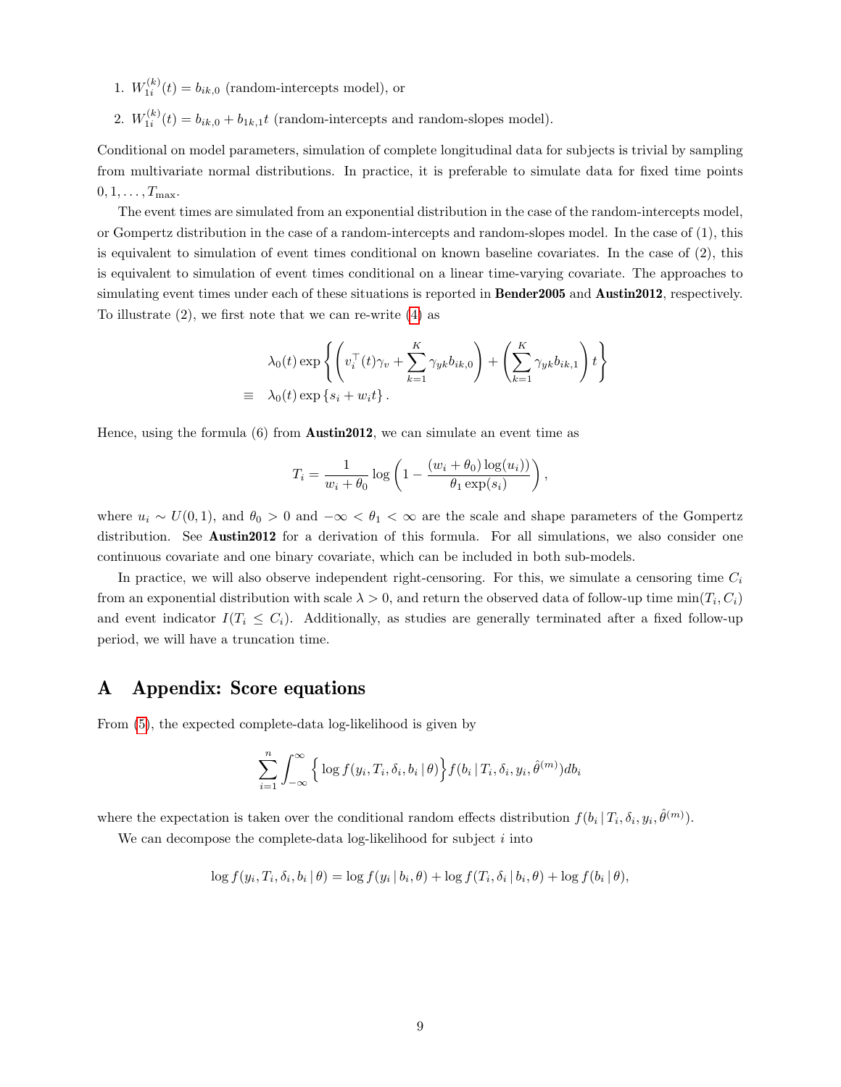- 1.  $W_{1i}^{(k)}(t) = b_{ik,0}$  (random-intercepts model), or
- 2.  $W_{1i}^{(k)}(t) = b_{ik,0} + b_{1k,1}t$  (random-intercepts and random-slopes model).

Conditional on model parameters, simulation of complete longitudinal data for subjects is trivial by sampling from multivariate normal distributions. In practice, it is preferable to simulate data for fixed time points  $0, 1, \ldots, T_{\text{max}}$ .

The event times are simulated from an exponential distribution in the case of the random-intercepts model, or Gompertz distribution in the case of a random-intercepts and random-slopes model. In the case of (1), this is equivalent to simulation of event times conditional on known baseline covariates. In the case of (2), this is equivalent to simulation of event times conditional on a linear time-varying covariate. The approaches to simulating event times under each of these situations is reported in **Bender2005** and **Austin2012**, respectively. To illustrate (2), we first note that we can re-write [\(4\)](#page-1-3) as

$$
\lambda_0(t) \exp\left\{ \left( v_i^\top(t) \gamma_v + \sum_{k=1}^K \gamma_{yk} b_{ik,0} \right) + \left( \sum_{k=1}^K \gamma_{yk} b_{ik,1} \right) t \right\}
$$
  
\n
$$
\equiv \lambda_0(t) \exp\left\{ s_i + w_i t \right\}.
$$

Hence, using the formula  $(6)$  from **Austin2012**, we can simulate an event time as

$$
T_i = \frac{1}{w_i + \theta_0} \log \left( 1 - \frac{(w_i + \theta_0) \log(u_i))}{\theta_1 \exp(s_i)} \right),
$$

where  $u_i \sim U(0, 1)$ , and  $\theta_0 > 0$  and  $-\infty < \theta_1 < \infty$  are the scale and shape parameters of the Gompertz distribution. See Austin2012 for a derivation of this formula. For all simulations, we also consider one continuous covariate and one binary covariate, which can be included in both sub-models.

In practice, we will also observe independent right-censoring. For this, we simulate a censoring time  $C_i$ from an exponential distribution with scale  $\lambda > 0$ , and return the observed data of follow-up time  $min(T_i, C_i)$ and event indicator  $I(T_i \leq C_i)$ . Additionally, as studies are generally terminated after a fixed follow-up period, we will have a truncation time.

# <span id="page-8-0"></span>A Appendix: Score equations

From [\(5\)](#page-2-2), the expected complete-data log-likelihood is given by

$$
\sum_{i=1}^{n} \int_{-\infty}^{\infty} \left\{ \log f(y_i, T_i, \delta_i, b_i | \theta) \right\} f(b_i | T_i, \delta_i, y_i, \hat{\theta}^{(m)}) db_i
$$

where the expectation is taken over the conditional random effects distribution  $f(b_i | T_i, \delta_i, y_i, \hat{\theta}^{(m)})$ .

We can decompose the complete-data log-likelihood for subject  $i$  into

$$
\log f(y_i, T_i, \delta_i, b_i | \theta) = \log f(y_i | b_i, \theta) + \log f(T_i, \delta_i | b_i, \theta) + \log f(b_i | \theta),
$$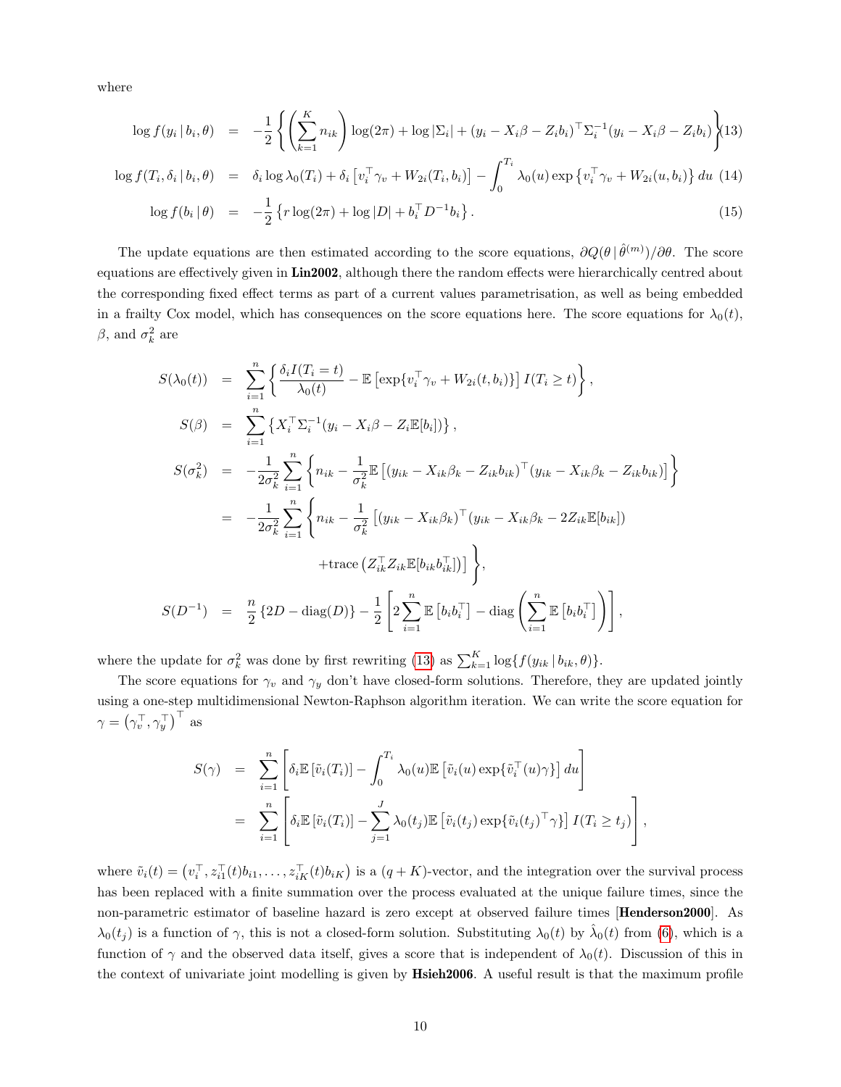where

<span id="page-9-0"></span>
$$
\log f(y_i | b_i, \theta) = -\frac{1}{2} \left\{ \left( \sum_{k=1}^K n_{ik} \right) \log(2\pi) + \log |\Sigma_i| + (y_i - X_i \beta - Z_i b_i)^{\top} \Sigma_i^{-1} (y_i - X_i \beta - Z_i b_i) \right\} (13)
$$

$$
\log f(T_i, \delta_i \, | \, b_i, \theta) = \delta_i \log \lambda_0(T_i) + \delta_i \left[ v_i^\top \gamma_v + W_{2i}(T_i, b_i) \right] - \int_0^{T_i} \lambda_0(u) \exp \left\{ v_i^\top \gamma_v + W_{2i}(u, b_i) \right\} du \tag{14}
$$

$$
\log f(b_i \,|\, \theta) \quad = \quad -\frac{1}{2} \left\{ r \log(2\pi) + \log|D| + b_i^{\top} D^{-1} b_i \right\}. \tag{15}
$$

The update equations are then estimated according to the score equations,  $\partial Q(\theta|\hat{\theta}^{(m)})/\partial\theta$ . The score equations are effectively given in Lin2002, although there the random effects were hierarchically centred about the corresponding fixed effect terms as part of a current values parametrisation, as well as being embedded in a frailty Cox model, which has consequences on the score equations here. The score equations for  $\lambda_0(t)$ ,  $\beta$ , and  $\sigma_k^2$  are

$$
S(\lambda_0(t)) = \sum_{i=1}^n \left\{ \frac{\delta_i I(T_i = t)}{\lambda_0(t)} - \mathbb{E} \left[ \exp\{v_i^\top \gamma_v + W_{2i}(t, b_i)\} \right] I(T_i \ge t) \right\},
$$
  
\n
$$
S(\beta) = \sum_{i=1}^n \left\{ X_i^\top \Sigma_i^{-1} (y_i - X_i \beta - Z_i \mathbb{E}[b_i]) \right\},
$$
  
\n
$$
S(\sigma_k^2) = -\frac{1}{2\sigma_k^2} \sum_{i=1}^n \left\{ n_{ik} - \frac{1}{\sigma_k^2} \mathbb{E} \left[ (y_{ik} - X_{ik}\beta_k - Z_{ik}b_{ik})^\top (y_{ik} - X_{ik}\beta_k - Z_{ik}b_{ik}) \right] \right\}
$$
  
\n
$$
= -\frac{1}{2\sigma_k^2} \sum_{i=1}^n \left\{ n_{ik} - \frac{1}{\sigma_k^2} \left[ (y_{ik} - X_{ik}\beta_k)^\top (y_{ik} - X_{ik}\beta_k - 2Z_{ik} \mathbb{E}[b_{ik}) \right] + \text{trace} \left( Z_{ik}^\top Z_{ik} \mathbb{E}[b_{ik}b_{ik}^\top] \right) \right\},
$$
  
\n
$$
S(D^{-1}) = \frac{n}{2} \left\{ 2D - \text{diag}(D) \right\} - \frac{1}{2} \left[ 2 \sum_{i=1}^n \mathbb{E} \left[ b_i b_i^\top \right] - \text{diag} \left( \sum_{i=1}^n \mathbb{E} \left[ b_i b_i^\top \right] \right) \right],
$$

where the update for  $\sigma_k^2$  was done by first rewriting [\(13\)](#page-9-0) as  $\sum_{k=1}^K \log\{f(y_{ik} | b_{ik}, \theta)\}.$ 

The score equations for  $\gamma_v$  and  $\gamma_y$  don't have closed-form solutions. Therefore, they are updated jointly using a one-step multidimensional Newton-Raphson algorithm iteration. We can write the score equation for  $\gamma = \left( \gamma_v^\top, \gamma_y^\top \right)^\top$  as

$$
S(\gamma) = \sum_{i=1}^{n} \left[ \delta_i \mathbb{E} \left[ \tilde{v}_i(T_i) \right] - \int_0^{T_i} \lambda_0(u) \mathbb{E} \left[ \tilde{v}_i(u) \exp \{ \tilde{v}_i^{\top}(u) \gamma \} \right] du \right]
$$
  
= 
$$
\sum_{i=1}^{n} \left[ \delta_i \mathbb{E} \left[ \tilde{v}_i(T_i) \right] - \sum_{j=1}^{J} \lambda_0(t_j) \mathbb{E} \left[ \tilde{v}_i(t_j) \exp \{ \tilde{v}_i(t_j)^{\top} \gamma \} \right] I(T_i \ge t_j) \right],
$$

where  $\tilde{v}_i(t) = (v_i^\top, z_{i1}^\top(t)b_{i1}, \dots, z_{iK}^\top(t)b_{iK})$  is a  $(q+K)$ -vector, and the integration over the survival process has been replaced with a finite summation over the process evaluated at the unique failure times, since the non-parametric estimator of baseline hazard is zero except at observed failure times [Henderson2000]. As  $\lambda_0(t_j)$  is a function of  $\gamma$ , this is not a closed-form solution. Substituting  $\lambda_0(t)$  by  $\hat{\lambda}_0(t)$  from [\(6\)](#page-3-2), which is a function of  $\gamma$  and the observed data itself, gives a score that is independent of  $\lambda_0(t)$ . Discussion of this in the context of univariate joint modelling is given by **Hsieh2006**. A useful result is that the maximum profile